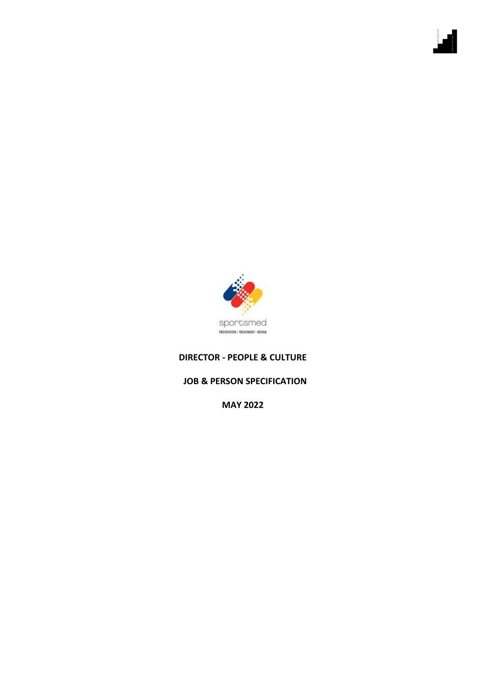

## **DIRECTOR - PEOPLE & CULTURE**

## **JOB & PERSON SPECIFICATION**

**MAY 2022**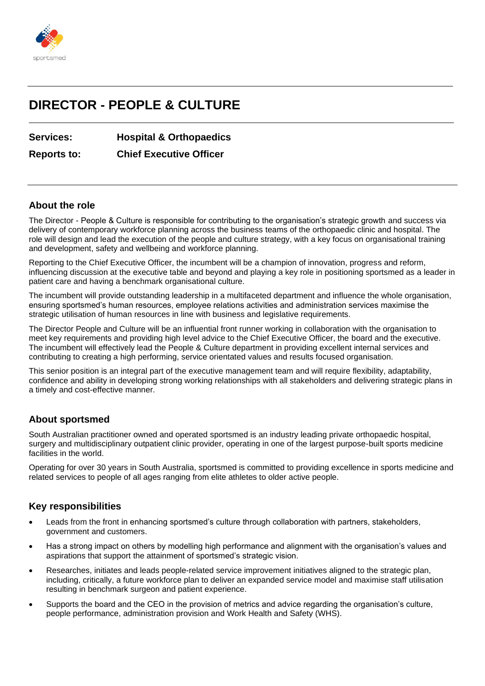

# **DIRECTOR - PEOPLE & CULTURE**

## **Services: Hospital & Orthopaedics**

**Reports to: Chief Executive Officer**

#### **About the role**

The Director - People & Culture is responsible for contributing to the organisation's strategic growth and success via delivery of contemporary workforce planning across the business teams of the orthopaedic clinic and hospital. The role will design and lead the execution of the people and culture strategy, with a key focus on organisational training and development, safety and wellbeing and workforce planning.

Reporting to the Chief Executive Officer, the incumbent will be a champion of innovation, progress and reform, influencing discussion at the executive table and beyond and playing a key role in positioning sportsmed as a leader in patient care and having a benchmark organisational culture.

The incumbent will provide outstanding leadership in a multifaceted department and influence the whole organisation, ensuring sportsmed's human resources, employee relations activities and administration services maximise the strategic utilisation of human resources in line with business and legislative requirements.

The Director People and Culture will be an influential front runner working in collaboration with the organisation to meet key requirements and providing high level advice to the Chief Executive Officer, the board and the executive. The incumbent will effectively lead the People & Culture department in providing excellent internal services and contributing to creating a high performing, service orientated values and results focused organisation.

This senior position is an integral part of the executive management team and will require flexibility, adaptability, confidence and ability in developing strong working relationships with all stakeholders and delivering strategic plans in a timely and cost-effective manner.

## **About sportsmed**

South Australian practitioner owned and operated sportsmed is an industry leading private orthopaedic hospital, surgery and multidisciplinary outpatient clinic provider, operating in one of the largest purpose-built sports medicine facilities in the world.

Operating for over 30 years in South Australia, sportsmed is committed to providing excellence in sports medicine and related services to people of all ages ranging from elite athletes to older active people.

## **Key responsibilities**

- Leads from the front in enhancing sportsmed's culture through collaboration with partners, stakeholders, government and customers.
- Has a strong impact on others by modelling high performance and alignment with the organisation's values and aspirations that support the attainment of sportsmed's strategic vision.
- Researches, initiates and leads people-related service improvement initiatives aligned to the strategic plan, including, critically, a future workforce plan to deliver an expanded service model and maximise staff utilisation resulting in benchmark surgeon and patient experience.
- Supports the board and the CEO in the provision of metrics and advice regarding the organisation's culture, people performance, administration provision and Work Health and Safety (WHS).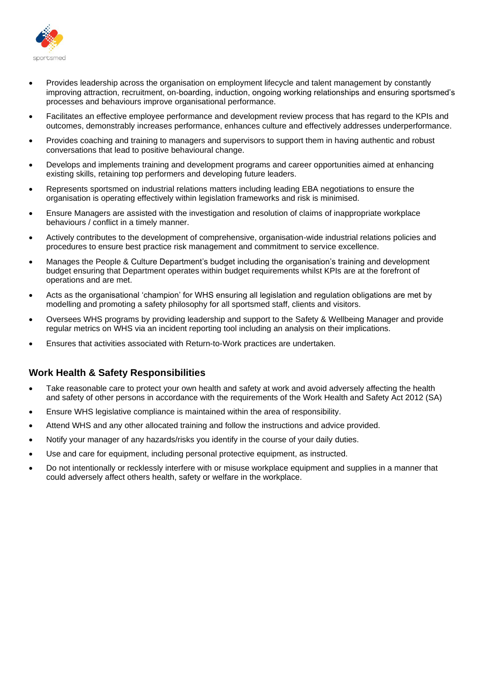

- Provides leadership across the organisation on employment lifecycle and talent management by constantly improving attraction, recruitment, on-boarding, induction, ongoing working relationships and ensuring sportsmed's processes and behaviours improve organisational performance.
- Facilitates an effective employee performance and development review process that has regard to the KPIs and outcomes, demonstrably increases performance, enhances culture and effectively addresses underperformance.
- Provides coaching and training to managers and supervisors to support them in having authentic and robust conversations that lead to positive behavioural change.
- Develops and implements training and development programs and career opportunities aimed at enhancing existing skills, retaining top performers and developing future leaders.
- Represents sportsmed on industrial relations matters including leading EBA negotiations to ensure the organisation is operating effectively within legislation frameworks and risk is minimised.
- Ensure Managers are assisted with the investigation and resolution of claims of inappropriate workplace behaviours / conflict in a timely manner.
- Actively contributes to the development of comprehensive, organisation-wide industrial relations policies and procedures to ensure best practice risk management and commitment to service excellence.
- Manages the People & Culture Department's budget including the organisation's training and development budget ensuring that Department operates within budget requirements whilst KPIs are at the forefront of operations and are met.
- Acts as the organisational 'champion' for WHS ensuring all legislation and regulation obligations are met by modelling and promoting a safety philosophy for all sportsmed staff, clients and visitors.
- Oversees WHS programs by providing leadership and support to the Safety & Wellbeing Manager and provide regular metrics on WHS via an incident reporting tool including an analysis on their implications.
- Ensures that activities associated with Return-to-Work practices are undertaken.

## **Work Health & Safety Responsibilities**

- Take reasonable care to protect your own health and safety at work and avoid adversely affecting the health and safety of other persons in accordance with the requirements of the Work Health and Safety Act 2012 (SA)
- Ensure WHS legislative compliance is maintained within the area of responsibility.
- Attend WHS and any other allocated training and follow the instructions and advice provided.
- Notify your manager of any hazards/risks you identify in the course of your daily duties.
- Use and care for equipment, including personal protective equipment, as instructed.
- Do not intentionally or recklessly interfere with or misuse workplace equipment and supplies in a manner that could adversely affect others health, safety or welfare in the workplace.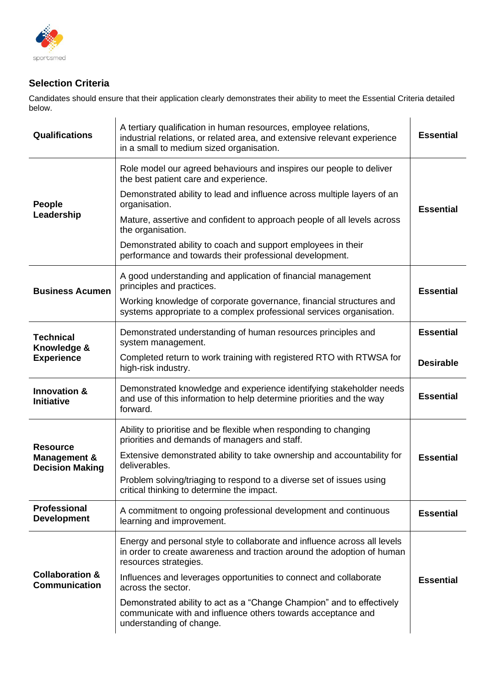

## **Selection Criteria**

Candidates should ensure that their application clearly demonstrates their ability to meet the Essential Criteria detailed below.

| <b>Qualifications</b>                                                | A tertiary qualification in human resources, employee relations,<br>industrial relations, or related area, and extensive relevant experience<br>in a small to medium sized organisation. | <b>Essential</b> |
|----------------------------------------------------------------------|------------------------------------------------------------------------------------------------------------------------------------------------------------------------------------------|------------------|
| People<br>Leadership                                                 | Role model our agreed behaviours and inspires our people to deliver<br>the best patient care and experience.                                                                             |                  |
|                                                                      | Demonstrated ability to lead and influence across multiple layers of an<br>organisation.                                                                                                 | <b>Essential</b> |
|                                                                      | Mature, assertive and confident to approach people of all levels across<br>the organisation.                                                                                             |                  |
|                                                                      | Demonstrated ability to coach and support employees in their<br>performance and towards their professional development.                                                                  |                  |
| <b>Business Acumen</b>                                               | A good understanding and application of financial management<br>principles and practices.                                                                                                | <b>Essential</b> |
|                                                                      | Working knowledge of corporate governance, financial structures and<br>systems appropriate to a complex professional services organisation.                                              |                  |
| <b>Technical</b><br>Knowledge &<br><b>Experience</b>                 | Demonstrated understanding of human resources principles and<br>system management.                                                                                                       | <b>Essential</b> |
|                                                                      | Completed return to work training with registered RTO with RTWSA for<br>high-risk industry.                                                                                              | <b>Desirable</b> |
| <b>Innovation &amp;</b><br><b>Initiative</b>                         | Demonstrated knowledge and experience identifying stakeholder needs<br>and use of this information to help determine priorities and the way<br>forward.                                  | <b>Essential</b> |
| <b>Resource</b><br><b>Management &amp;</b><br><b>Decision Making</b> | Ability to prioritise and be flexible when responding to changing<br>priorities and demands of managers and staff.                                                                       |                  |
|                                                                      | Extensive demonstrated ability to take ownership and accountability for<br>deliverables.                                                                                                 | <b>Essential</b> |
|                                                                      | Problem solving/triaging to respond to a diverse set of issues using<br>critical thinking to determine the impact.                                                                       |                  |
| <b>Professional</b><br><b>Development</b>                            | A commitment to ongoing professional development and continuous<br>learning and improvement.                                                                                             | <b>Essential</b> |
| <b>Collaboration &amp;</b><br><b>Communication</b>                   | Energy and personal style to collaborate and influence across all levels<br>in order to create awareness and traction around the adoption of human<br>resources strategies.              |                  |
|                                                                      | Influences and leverages opportunities to connect and collaborate<br>across the sector.                                                                                                  | <b>Essential</b> |
|                                                                      | Demonstrated ability to act as a "Change Champion" and to effectively<br>communicate with and influence others towards acceptance and<br>understanding of change.                        |                  |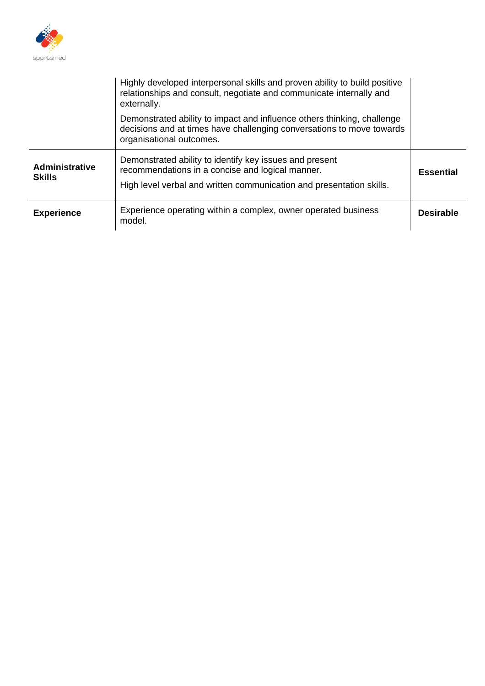

|                                        | Highly developed interpersonal skills and proven ability to build positive<br>relationships and consult, negotiate and communicate internally and<br>externally.                    |                  |
|----------------------------------------|-------------------------------------------------------------------------------------------------------------------------------------------------------------------------------------|------------------|
|                                        | Demonstrated ability to impact and influence others thinking, challenge<br>decisions and at times have challenging conversations to move towards<br>organisational outcomes.        |                  |
| <b>Administrative</b><br><b>Skills</b> | Demonstrated ability to identify key issues and present<br>recommendations in a concise and logical manner.<br>High level verbal and written communication and presentation skills. | <b>Essential</b> |
| <b>Experience</b>                      | Experience operating within a complex, owner operated business<br>model.                                                                                                            | <b>Desirable</b> |